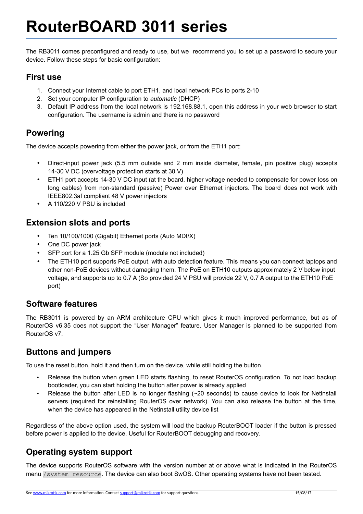# **RouterBOARD 3011 series**

The RB3011 comes preconfigured and ready to use, but we recommend you to set up a password to secure your device. Follow these steps for basic configuration:

#### **First use**

- 1. Connect your Internet cable to port ETH1, and local network PCs to ports 2-10
- 2. Set your computer IP configuration to *automatic* (DHCP)
- 3. Default IP address from the local network is 192.168.88.1, open this address in your web browser to start configuration. The username is admin and there is no password

#### **Powering**

The device accepts powering from either the power jack, or from the ETH1 port:

- Direct-input power jack (5.5 mm outside and 2 mm inside diameter, female, pin positive plug) accepts 14-30 V DC (overvoltage protection starts at 30 V)
- ETH1 port accepts 14-30 V DC input (at the board, higher voltage needed to compensate for power loss on long cables) from non-standard (passive) Power over Ethernet injectors. The board does not work with IEEE802.3af compliant 48 V power injectors
- A 110/220 V PSU is included

#### **Extension slots and ports**

- Ten 10/100/1000 (Gigabit) Ethernet ports (Auto MDI/X)
- One DC power jack
- SFP port for a 1.25 Gb SFP module (module not included)
- The ETH10 port supports PoE output, with auto detection feature. This means you can connect laptops and other non-PoE devices without damaging them. The PoE on ETH10 outputs approximately 2 V below input voltage, and supports up to 0.7 A (So provided 24 V PSU will provide 22 V, 0.7 A output to the ETH10 PoE port)

#### **Software features**

The RB3011 is powered by an ARM architecture CPU which gives it much improved performance, but as of RouterOS v6.35 does not support the "User Manager" feature. User Manager is planned to be supported from RouterOS v7.

#### **Buttons and jumpers**

To use the reset button, hold it and then turn on the device, while still holding the button.

- Release the button when green LED starts flashing, to reset RouterOS configuration. To not load backup bootloader, you can start holding the button after power is already applied
- Release the button after LED is no longer flashing (~20 seconds) to cause device to look for Netinstall servers (required for reinstalling RouterOS over network). You can also release the button at the time, when the device has appeared in the Netinstall utility device list

Regardless of the above option used, the system will load the backup RouterBOOT loader if the button is pressed before power is applied to the device. Useful for RouterBOOT debugging and recovery.

### **Operating system support**

The device supports RouterOS software with the version number at or above what is indicated in the RouterOS menu /system resource. The device can also boot SwOS. Other operating systems have not been tested.